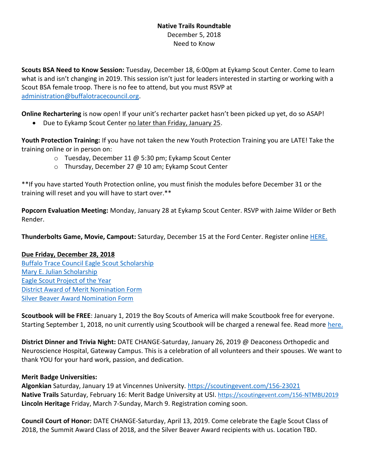## **Native Trails Roundtable**  December 5, 2018 Need to Know

**Scouts BSA Need to Know Session:** Tuesday, December 18, 6:00pm at Eykamp Scout Center. Come to learn what is and isn't changing in 2019. This session isn't just for leaders interested in starting or working with a Scout BSA female troop. There is no fee to attend, but you must RSVP at [administration@buffalotracecouncil.org.](mailto:administration@buffalotracecouncil.org)

**Online Rechartering** is now open! If your unit's recharter packet hasn't been picked up yet, do so ASAP!

• Due to Eykamp Scout Center no later than Friday, January 25.

**Youth Protection Training:** If you have not taken the new Youth Protection Training you are LATE! Take the training online or in person on:

- o Tuesday, December 11 @ 5:30 pm; Eykamp Scout Center
- o Thursday, December 27 @ 10 am; Eykamp Scout Center

\*\*If you have started Youth Protection online, you must finish the modules before December 31 or the training will reset and you will have to start over.\*\*

**Popcorn Evaluation Meeting:** Monday, January 28 at Eykamp Scout Center. RSVP with Jaime Wilder or Beth Render.

**Thunderbolts Game, Movie, Campout:** Saturday, December 15 at the Ford Center. Register online [HERE.](https://evansvillethunderbolts.formstack.com/forms/boy_scouts_night_campout_at_ford_center)

## **Due Friday, December 28, 2018**

[Buffalo Trace Council Eagle Scout Scholarship](https://docs.wixstatic.com/ugd/27aee5_11bfcb73a0ec469388f93412464638f0.pdf) [Mary E. Julian Scholarship](https://docs.wixstatic.com/ugd/27aee5_5d585e556b864763b652b6c377e249b0.pdf) [Eagle Scout Project of the Year](https://docs.wixstatic.com/ugd/27aee5_8c1e3372bafd4c01864203854e592d23.pdf) [District Award of Merit Nomination Form](https://filestore.scouting.org/filestore/pdf/33720.pdf) [Silver Beaver Award Nomination Form](https://filestore.scouting.org/filestore/pdf/92-103.pdf)

**Scoutbook will be FREE**: January 1, 2019 the Boy Scouts of America will make Scoutbook free for everyone. Starting September 1, 2018, no unit currently using Scoutbook will be charged a renewal fee. Read more [here.](https://blog.scoutingmagazine.org/2018/08/31/bsa-announces-its-making-scoutbook-free-for-everyone-beginning-jan-1-2019/?utm_source=scoutingwire&utm_campaign=swemployee952018&utm_medium=email&utm_content)

**District Dinner and Trivia Night:** DATE CHANGE-Saturday, January 26, 2019 @ Deaconess Orthopedic and Neuroscience Hospital, Gateway Campus. This is a celebration of all volunteers and their spouses. We want to thank YOU for your hard work, passion, and dedication.

## **Merit Badge Universities:**

**Algonkian** Saturday, January 19 at Vincennes University.<https://scoutingevent.com/156-23021> **Native Trails** Saturday, February 16: Merit Badge University at USI. <https://scoutingevent.com/156-NTMBU2019> **Lincoln Heritage** Friday, March 7-Sunday, March 9. Registration coming soon.

**Council Court of Honor:** DATE CHANGE-Saturday, April 13, 2019. Come celebrate the Eagle Scout Class of 2018, the Summit Award Class of 2018, and the Silver Beaver Award recipients with us. Location TBD.